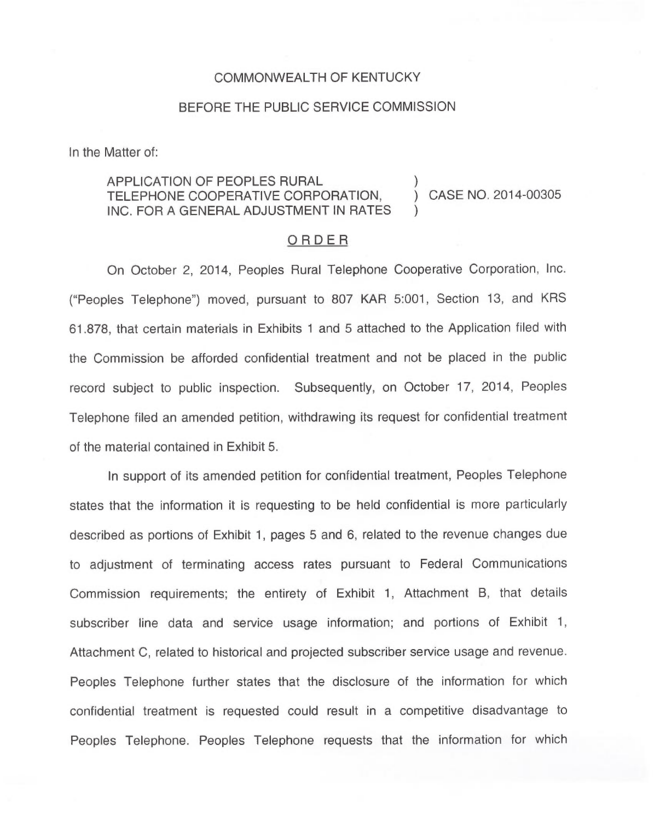## COMMONWEALTH OF KENTUCKY

## BEFORE THE PUBLIC SERVICE COMMISSION

In the Matter of:

## APPLICATION OF PEOPLES RURAL TELEPHONE COOPERATIVE CORPORATION,  $\bigcirc$  CASE NO. 2014-00305 INC. FOR A GENERAL ADJUSTMENT IN RATES

## ORDER

On October 2, 2014, Peoples Rural Telephone Cooperative Corporation, Inc. ("Peoples Telephone") moved, pursuant to 807 KAR 5:001, Section 13, and KRS 61.878, that certain materials in Exhibits <sup>1</sup> and 5 attached to the Application filed with the Commission be afforded confidential treatment and not be placed in the public record subject to public inspection. Subsequently, on October 17, 2014, Peoples Telephone filed an amended petition, withdrawing its request for confidential treatment of the material contained in Exhibit 5.

In support of its amended petition for confidential treatment, Peoples Telephone states that the information it is requesting to be held confidential is more particularly described as portions of Exhibit 1, pages 5 and 6, related to the revenue changes due to adjustment of terminating access rates pursuant to Federal Communications Commission requirements; the entirety of Exhibit 1, Attachment B, that details subscriber line data and service usage information; and portions of Exhibit 1, Attachment C, related to historical and projected subscriber service usage and revenue. Peoples Telephone further states that the disclosure of the information for which confidential treatment is requested could result in a competitive disadvantage to Peoples Telephone. Peoples Telephone requests that the information for which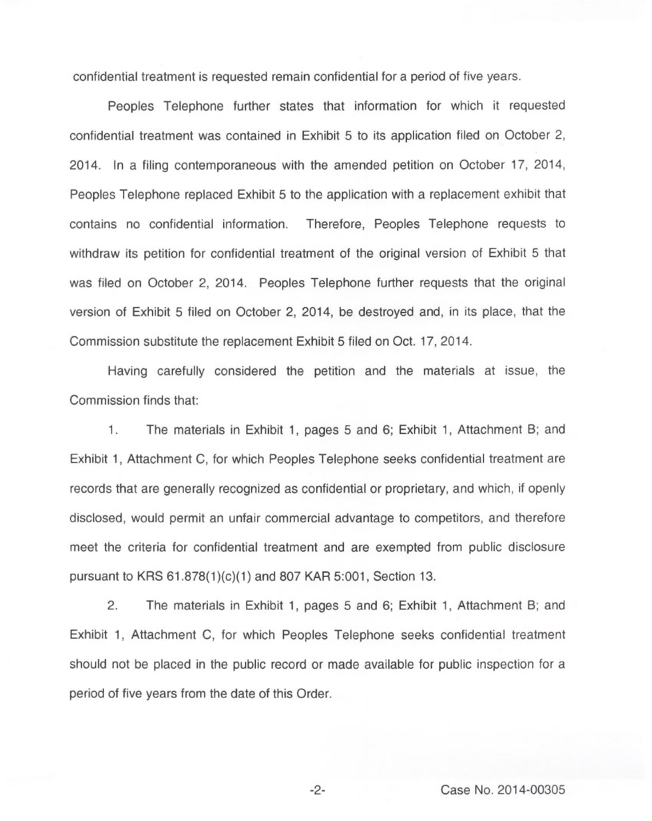confidential treatment is requested remain confidential for a period of five years.

Peoples Telephone further states that information for which it requested confidential treatment was contained in Exhibit 5 to its application filed on October 2, 2014. In a filing contemporaneous with the amended petition on October 17, 2014, Peoples Telephone replaced Exhibit 5 to the application with a replacement exhibit that contains no confidential information. Therefore, Peoples Telephone requests to withdraw its petition for confidential treatment of the original version of Exhibit 5 that was filed on October 2, 2014. Peoples Telephone further requests that the original version of Exhibit 5 filed on October 2, 2014, be destroyed and, in its place, that the Commission substitute the replacement Exhibit 5 filed on Oct. 17, 2014.

Having carefully considered the petition and the materials at issue, the Commission finds that:

1. The materials in Exhibit 1, pages 5 and 6; Exhibit 1, Attachment B; and Exhibit 1, Attachment C, for which Peoples Telephone seeks confidential treatment are records that are generally recognized as confidential or proprietary, and which, if openly disclosed, would permit an unfair commercial advantage to competitors, and therefore meet the criteria for confidential treatment and are exempted from public disclosure pursuant to KRS 61.878(1)(c)(1) and 807 KAR 5:001, Section 13.

2. The materials in Exhibit 1, pages 5 and 6; Exhibit 1, Attachment B; and Exhibit 1, Attachment C, for which Peoples Telephone seeks confidential treatment should not be placed in the public record or made available for public inspection for a period of five years from the date of this Order.

-2- Case No. 2014-00305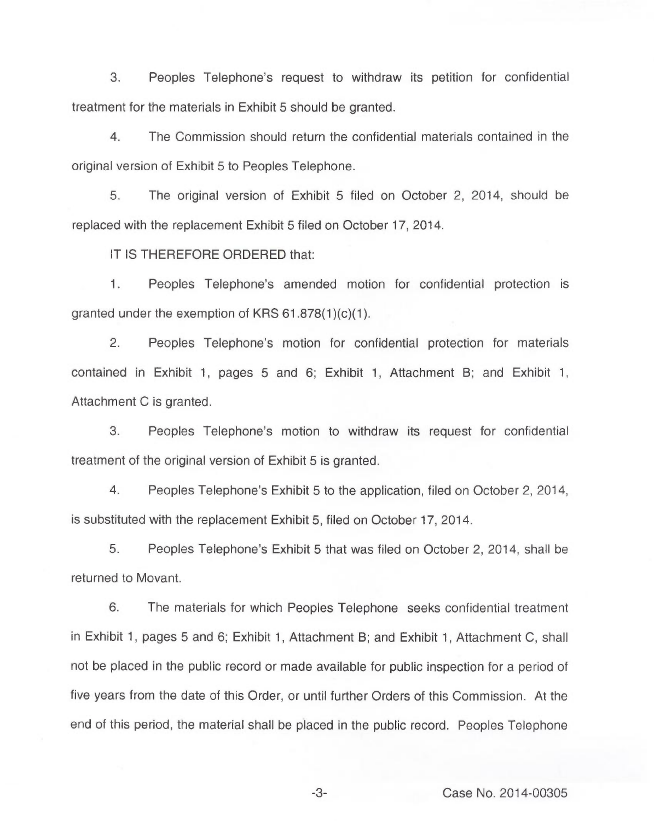3. Peoples Telephone's request to withdraw its petition for confidential treatment for the materials in Exhibit 5 should be granted.

4. The Commission should return the confidential materials contained in the original version of Exhibit 5 to Peoples Telephone.

5. The original version of Exhibit 5 filed on October 2, 2014, should be replaced with the replacement Exhibit 5 filed on October 17, 2014.

IT IS THEREFORE ORDERED that:

 $1.$ Peoples Telephone's amended motion for confidential protection is granted under the exemption of KRS 61.878(1)(c)(1).

2. Peoples Telephone's motion for confidential protection for materials contained in Exhibit 1, pages 5 and 6; Exhibit 1, Attachment B; and Exhibit 1, Attachment C is granted.

3. Peoples Telephone's motion to withdraw its request for confidential treatment of the original version of Exhibit 5 is granted.

4. Peoples Telephone's Exhibit 5 to the application, filed on October 2, 2014, is substituted with the replacement Exhibit 5, filed on October 17, 2014.

5. Peoples Telephone's Exhibit 5 that was filed on October 2, 2014, shall be returned to Movant.

6. The materials for which Peoples Telephone seeks confidential treatment in Exhibit 1, pages 5 and 6; Exhibit 1, Attachment B; and Exhibit 1, Attachment C, shall not be placed in the public record or made available for public inspection for a period of five years from the date of this Order, or until further Orders of this Commission. At the end of this period, the material shall be placed in the public record. Peoples Telephone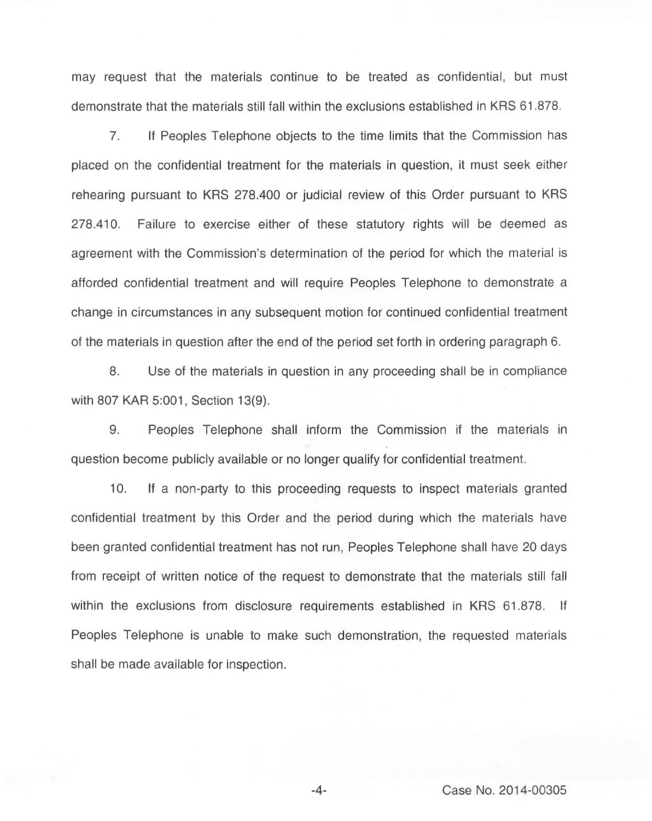may request that the materials continue to be treated as confidential, but must demonstrate that the materials still fall within the exclusions established in KRS 61.878.

7. If Peoples Telephone objects to the time limits that the Commission has placed on the confidential treatment for the materials in question, it must seek either rehearing pursuant to KRS 278.400 or judicial review of this Order pursuant to KRS 278.410. Failure to exercise either of these statutory rights will be deemed as agreement with the Commission's determination of the period for which the material is afforded confidential treatment and will require Peoples Telephone to demonstrate a change in circumstances in any subsequent motion for continued confidential treatment of the materials in question after the end of the period set forth in ordering paragraph 6.

8. Use of the materials in question in any proceeding shall be in compliance with 807 KAR 5:001, Section 13(9).

9. Peoples Telephone shall inform the Commission if the materials in question become publicly available or no longer qualify for confidential treatment.

10. If a non-party to this proceeding requests to inspect materials granted confidential treatment by this Order and the period during which the materials have been granted confidential treatment has not run, Peoples Telephone shall have 20 days from receipt of written notice of the request to demonstrate that the materials still fall within the exclusions from disclosure requirements established in KRS 61.878. If Peoples Telephone is unable to make such demonstration, the requested materials shall be made available for inspection.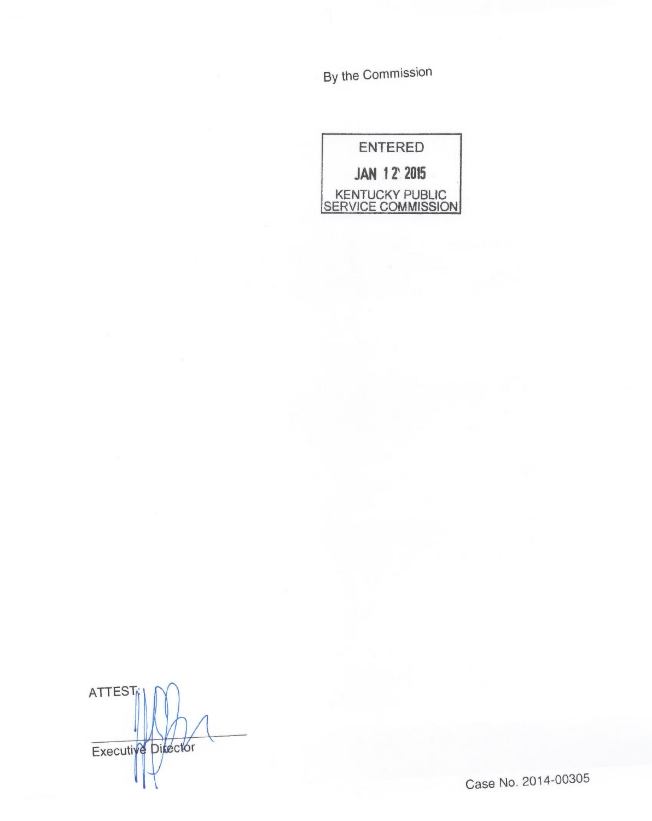By the Commission

| ENTERED                                             |
|-----------------------------------------------------|
| <b>JAN 12 2015</b>                                  |
| <b>KENTUCKY PUBLIC</b><br><b>SERVICE COMMISSION</b> |

**ATTEST** Executive Director

Case No. 2014-00305